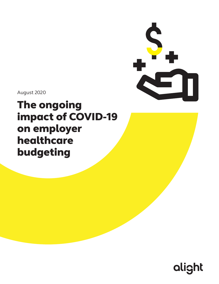

August 2020

# The ongoing impact of COVID-19 on employer healthcare budgeting

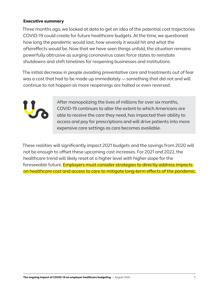# Executive summary

Three months ago, we looked at data to get an idea of the potential cost trajectories COVID-19 could create for future healthcare budgets. At the time, we questioned how long the pandemic would last, how severely it would hit and what the aftereffects would be. Now that we have seen things unfold, the situation remains powerfully obtrusive as surging coronavirus cases force states to reinstate shutdowns and shift timelines for reopening businesses and institutions.

The initial decrease in people avoiding preventative care and treatments out of fear was a cost that had to be made up immediately — something that did not and will continue to not happen as more reopenings are halted or even reversed.



After monopolizing the lives of millions for over six months, COVID-19 continues to alter the extent to which Americans are able to receive the care they need, has impacted their ability to access and pay for prescriptions and will drive patients into more expensive care settings as care becomes available.

These realities will significantly impact 2021 budgets and the savings from 2020 will not be enough to offset these upcoming cost increases. For 2021 and 2022, the healthcare trend will likely reset at a higher level with higher slope for the foreseeable future. Employers must consider strategies to directly address impacts on healthcare cost and access to care to mitigate long-term effects of the pandemic.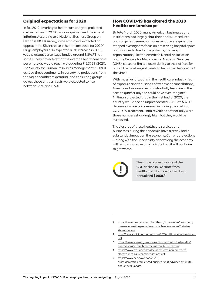# Original expectations for 2020

In fall 2019, a variety of healthcare analysts projected cost increases in 2020 to once again exceed the rate of inflation. According to a National Business Group on Health (NBGH) survey, large employers expected an approximate 5% increase in healthcare costs for 2020.<sup>1</sup> Large employers also expected a 5% increase in 2019, yet the actual percentage landed around 3.8%.<sup>2</sup> That same survey projected that the average healthcare cost per employee would reach a staggering \$15,375 in 2020. The Society for Human Resources Management (SHRM) echoed these sentiments in portraying projections from the major healthcare actuarial and consulting groups across those entities, costs were expected to rise between 3.9% and 6.5%.3

# How COVID-19 has altered the 2020 healthcare landscape

By late March 2020, many American businesses and institutions had largely shut their doors. Procedures and surgeries deemed as nonessential were generally stopped overnight to focus on preserving hospital space and supplies to treat virus patients, and major organizations, like the American Dental Association and the Centers for Medicare and Medicaid Services (CMS), closed or limited accessibility to their offices for all but the most urgent needs to help slow the spread of the virus.4

With massive furloughs in the healthcare industry, fear of exposure and thousands of treatment cancellations, Americans have received substantially less care in the second quarter anyone could have ever imagined. Milliman projected that in the first half of 2020, the country would see an unprecedented \$140B to \$375B decrease in care costs — even including the costs of COVID-19 treatment. Data revealed that not only were those numbers shockingly high, but they would be surpassed.

The closures of these healthcare services and businesses during the pandemic have already had a substantial impact on the economy. Current projections — along with the uncertainty of how long the economy will remain closed — only indicate that it will continue to get worse.



The single biggest source of the GDP decline in Q2 came from healthcare, which decreased by an annualized \$595B. 5

- **1** [https://www.businessgrouphealth.org/who-we-are/newsroom/](https://www.businessgrouphealth.org/who-we-are/newsroom/press-releases/large-employers-double-down-on-efforts-to-stem-rising-us) [press-releases/large-employers-double-down-on-efforts-to](https://www.businessgrouphealth.org/who-we-are/newsroom/press-releases/large-employers-double-down-on-efforts-to-stem-rising-us)[stem-rising-us](https://www.businessgrouphealth.org/who-we-are/newsroom/press-releases/large-employers-double-down-on-efforts-to-stem-rising-us)
- **2** [http://assets.milliman.com/ektron/2019-milliman-medical-index.](http://assets.milliman.com/ektron/2019-milliman-medical-index.pdf) [pdf](http://assets.milliman.com/ektron/2019-milliman-medical-index.pdf)
- **3** [https://www.shrm.org/resourcesandtools/hr-topics/benefits/](https://www.shrm.org/resourcesandtools/hr-topics/benefits/pages/average-family-premiums-top-$20,000.aspx) [pages/average-family-premiums-top-\\$20,000.aspx](https://www.shrm.org/resourcesandtools/hr-topics/benefits/pages/average-family-premiums-top-$20,000.aspx)
- **4** [https://www.cms.gov/files/document/cms-non-emergent](https://www.cms.gov/files/document/cms-non-emergent-elective-medical-recommendations.pdf)[elective-medical-recommendations.pdf](https://www.cms.gov/files/document/cms-non-emergent-elective-medical-recommendations.pdf)
- **5** [https://www.bea.gov/news/2020/](https://www.bea.gov/news/2020/gross-domestic-product-2nd-quarter-2020-advance-estimate-and-annual-update) [gross-domestic-product-2nd-quarter-2020-advance-estimate](https://www.bea.gov/news/2020/gross-domestic-product-2nd-quarter-2020-advance-estimate-and-annual-update)[and-annual-update](https://www.bea.gov/news/2020/gross-domestic-product-2nd-quarter-2020-advance-estimate-and-annual-update)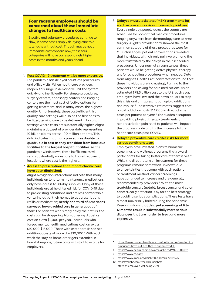# Four reasons employers should be concerned about these immediate changes to healthcare costs

Elective and voluntary procedures continue to slow, in some cases simply delaying care to a later date without cost. Though maybe not an immediate cost concern now, these four categories will have correspondingly higher costs in the months and years ahead.

#### 1. **Post COVID-19 treatment will be more expensive.**

The pandemic has delayed countless procedures and office visits. When healthcare providers reopen, this surge in demand will hit the system quickly and inefficiently. For simple procedures, surgery centers, endoscopy centers and imaging centers are the most cost-effective options for getting treatment, and in many cases, the highest quality. Unfortunately, these cost-efficient, high quality care settings will also be the first ones to be filled, leaving care to be delivered in hospital settings where costs are substantially higher. Alight maintains a dataset of provider data representing 10 billion claims across 100 million patients. This data indicates that many **procedures double to quadruple in cost as they transition from boutique facilities to the largest hospital facilities**. As the pandemic winds down, these inefficiencies will send substantially more care to those treatment locations where cost is the highest.

## 2. **Access to prescriptions that impact chronic care have been diminished.**

Alight Navigation interactions indicate that many individuals on long-term maintenance medications only have access to 30-day supplies. Many of those individuals are at heightened risk for COVID-19 due to pre-existing conditions and are less comfortable venturing out of their homes to get prescriptions refills or medication; **nearly one-third of Americans surveyed have avoided care in general out of fear.**6 For patients who simply delay their refills, the costs can be staggering. Non-adhering diabetics cost an extra \$5,000 per year. Individuals who forego mental health medications cost an extra \$10,000-\$15,000. Those with osteoporosis see net additional costs of more like \$30,000.7 With each week the stay-at-home order gets extended in hard-hit regions, future costs will start to accrue for employers.

3. **Delayed musculoskeletal (MSK) treatments for elective procedures risks increased opioid use.** Every single day, people across the country are scheduled for non-critical medical procedures ranging anywhere from dermatology care to knee surgery. Alight's provider data showed the most common category of those procedures were for MSK challenges; patient conversations revealed that individuals with chronic pain were among the more frustrated by the delays in their scheduled procedures. Under normal circumstances, these patients would be getting active physical therapy and/or scheduling procedures when needed. Data from Alight's Health Pro® conversations found that these individuals are increasingly turning to their providers and asking for pain medications. As an estimated \$78.5 billion cost to the U.S. each year, employers have invested their own dollars to stop this crisis and limit prescription opioid addictions and misuse.<sup>8</sup> Conservative estimates suggest that opioid addiction costs \$14,000 in direct claims costs per patient per year.<sup>9</sup> The sudden disruption in providing physical therapy treatments or nonprescription pain relief to patients will impact the progress made and further increase future healthcare costs post-COVID.

## 4. **Delayed preventive care creates risks for more serious conditions later.**

Employers have invested in onsite biometric screenings and wellness programs that reward participants for taking better care of themselves.10 While the direct return on investment for these programs remains somewhat unknown due to uncertainties that come with each patient or treatment method, cancer screenings have continued to increase and are generally recommended by providers.10 With the most treatable cancers (notably breast cancer and colon cancer), early detection is by far the best strategy to avoiding serious complications. These tests have almost universally halted during the pandemic. Research shows that **delayed screenings of 6 to 12 months result in substantially more serious diagnoses that are harder to treat and more expensive**.

- **7** <https://www.ncbi.nlm.nih.gov/pmc/articles/PMC5780689/>
- **8** <https://www.cdc.gov>
- **9** <https://www.jmcp.org/doi/10.18553/jmcp.2017.16265>
- **10** [https://alight.com/research-insights/](https://alight.com/research-insights/state-of-employee-wellbeing-2019) [state-of-employee-wellbeing-2019](https://alight.com/research-insights/state-of-employee-wellbeing-2019)

**<sup>6</sup>** [https://www.modernhealthcare.com/patient-care/nearly-third](https://www.modernhealthcare.com/patient-care/nearly-third-americans-have-put-healthcare-during-covid-19)[americans-have-put-healthcare-during-covid-19](https://www.modernhealthcare.com/patient-care/nearly-third-americans-have-put-healthcare-during-covid-19)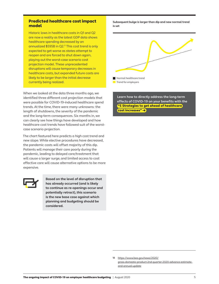## Predicted healthcare cost impact model

Historic lows in healthcare costs in Q1 and Q2 are now a reality as the latest GDP data shows healthcare spending decreased by an annualized \$595B in Q2.11 This cost trend is only expected to get worse as states attempt to reopen and are forced to shut down again, playing out the worst-case scenario cost projection model. These unprecedented disruptions will cause temporary decreases in healthcare costs, but expanded future costs are likely to be larger than the initial decrease currently being realized.

When we looked at the data three months ago, we identified three different cost projection models that were possible for COVID-19-induced healthcare spend trends. At the time, there were many unknowns: the length of shutdowns, the severity of the pandemic and the long-term consequences. Six months in, we can clearly see how things have developed and how healthcare cost trends have followed suit of the worstcase scenario projection.

The chart featured here predicts a high cost trend and new slope. While elective procedures have decreased, the pandemic costs will offset majority of this dip. Patients will manage their care poorly during the pandemic, leading to delayed care/treatment that will cause a larger surge, and limited access to cost effective care will cause alternative options to be more expensive.



**Based on the level of disruption that has already occurred (and is likely to continue as re-openings occur and potentially retract), this scenario is the new base case against which planning and budgeting should be considered.**

**Subsequent bulge is larger than dip and new normal trend is set**



**Learn how to directly address the long-term effects of COVID-19 on your benefits with the**  "[5 Strategies to get ahead of healthcare](https://go.alight.com/get-ahead-of-healthcare-cost-increases.html?utm_source=whitepaper&utm_medium=pdf&utm_campaign=cost_containment)   [cost increases"](https://go.alight.com/get-ahead-of-healthcare-cost-increases.html?utm_source=whitepaper&utm_medium=pdf&utm_campaign=cost_containment) →

**<sup>11</sup>** [https://www.bea.gov/news/2020/](https://www.bea.gov/news/2020/gross-domestic-product-2nd-quarter-2020-advance-estimate-and-annual-update)

[gross-domestic-product-2nd-quarter-2020-advance-estimate](https://www.bea.gov/news/2020/gross-domestic-product-2nd-quarter-2020-advance-estimate-and-annual-update)[and-annual-update](https://www.bea.gov/news/2020/gross-domestic-product-2nd-quarter-2020-advance-estimate-and-annual-update)